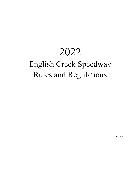# 2022

# English Creek Speedway Rules and Regulations

1/25/2019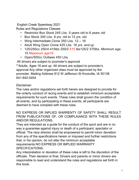English Creek Speedway 2021

Rules and Regulations Classes

- Restrictor Box Stock 245 Lbs. 5 years old to 8 years old
- Box Stock 300 Lbs. 8 yrs. old to 12 yrs. old
- Wing Intermediate Clone 350 Lbs. 12 16
- Adult Wing Open Clone 425 Lbs. 16 yrs. and up
- 125/250cc 250/4 415lbs 250/2 415 lbs125/2 375lbs. Minimum age 10 Maximum age16
- Open/500cc Outlaws 450 Lbs.

All drivers are subject to promoter's approval

\*\*Adults. Ages 16 and up. All drivers are subject to promoter's approval Any other organized class must be approved by the promoter. Mailing Address 812 W Jefferson St Knoxville, IA 50138 641-842-5454

Disclaimer:

The rules and/or regulations set forth herein are designed to provide for the orderly conduct of racing events and to establish minimum acceptable requirements for such events. These rules shall govern the condition of all events, and by participating in these events, all participants are deemed to have complied with these rules.

NO EXPRESS OR INPLIED WARRENTY OF SAFETY SHALL RESULT FROM PUBLICATIONS OF, OR COMPLAIANCE WITH THESE RULES AND/OR REGULATIONS.

They are intended as a guide for the conduct of the sport and are in no way a guarantee against injury or death of a participant, spectator or official. The race director shall be empowered to permit minor deviation from any of the specifications herein or imposed and further restrictions that, in his opinion, do not alter the minimum acceptable requirements.NO EXPRESS OR IMPLIED WARRANTY SPECIFICATIONS.

Any interpretation or deviation of these rules is left to the discretion of the officials. Their decision is final. Drivers and parents or minor drivers are responsible to read and understand the rules and regulations set forth in this book.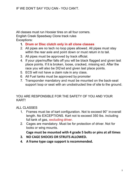All classes must run Hoosier tires on all four corners. English Creek Speedway Clone track rules Exceptions:

- **1. Drum or Disc clutch only in all clone classes**
- 2. All pipes are no tech no loop pipes allowed. All pipes must stay within the rear axle and point down or must return in to tail.
- 3. All pipes must be approved by track official.
- 4. If your pipe/muffler falls off you will be black flagged and given last place points. If it is broken, loose, cracked, missing ect. After the race you will also be DQ'ed and given last place points.
- 5. ECS will not have a claim rule in any class.
- 6. All Fuel tanks must be approved by promoter
- 7. Transponder mandatory and must be mounted on the back-seat support loop or seat with an unobstructed line of site to the ground.

## YOU ARE RESPONSIBLE FOR THE SAFETY OF YOU AND YOUR KART!

## ALL CLASSES

- 1. Frames must be of kart configuration. Not to exceed 90" in overall length. No EXCEPTIONS. Kart not to exceed 350 lbs. including full tank of gas, excluding driver.
- 2. Cages are mandatory. Must be for protection of driver. Not for looks or wing mounts.

**Cage must be mounted with 4 grade 5 bolts or pins at all times**

- **3. NO CAGE SHOCKS OR STRUTS ALLOWED.**
- **4. A frame type cage support isrecommended.**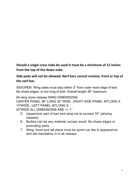**Should a single cross tube be used it must be a minimum of 12 inches from the top of the down tube.**

**Side pods will not be allowed. Nerf bars cannot enclose, front or top of the nerf bar.**

500/OPEN. Wing sides must stay within 3" from outer most edge of kart. No sharp edges. or too long of bolt. Overall length 48" maximum.

All wing clone classes WING DIMENSIONS CENTER PANEL 36" LONG 32" WIDE...RIGHT SIDE PANEL 40"LONG X 14"WIDE...LEFT PANEL 40"LONG X

20"WIDE ALL DIMENSIONS ARE +/- 1"

- 5. Uppermost part of kart and wing not to exceed 76" (allwing classes).
- 6. Bodies can be any material, except wood. No sharp edges or protruding parts.
- 7. Wing, hood and tail piece must be sprint car like in appearance and are mandatory in in all classes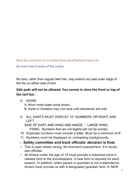Must be a minimum of 13 inches from end of bottom frame rail.

No more than 4 inches of flat surface

No bars, other than regular Nerf bar, may extend out past outer edge of the tire on either side of kart.

# **Side pods will not be allowed. You cannot in close the front or top of the nerf bar.**

- 8. NOISE:
	- A. Must meet state noise levels.
	- B. Karts in Violation may not race until standards are met.
- 9. ALL KARTS MUST DISPLAY 10" NUMBERS OR RIGHT AND LEFT

SIDE OF KART AND WING AND INSIDE  $\circ$  LARGE WING PANEL. Numbers that are not legible will not be scored.

- 10. Duplicate numbers must include a letter. Must be a minimum of 6".
- 11. Numbers must be displayed on contrasting backgrounds.
- o **Safety committee and track officials' decision is final.**
- This is open wheel racing, No front-end cowcatchers. If in doubt, see officials.
- All drivers under the age of 18 must provide a notarized minor's release form to the scorekeepers. A new form is required for each season. In addition, when parent or guardian is not in attendance, drivers must provide us with a designated guardian form. A NEW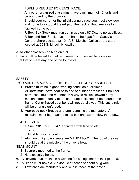FORM IS REQUIED FOR EACH RACE.

- Any other organized class must have a minimum of 12 karts and be approved by the promoter.
- Should your car enter the infield during a race you must slow down and come to a stop at the edge of the track at that time a yellow flag well come out.
- R-Box, Box Stock must run pump gas only 87 Octane no additives.
- R-Box and Box Stock must purchase their gas from Casey's General Store Located at 101 A St. Melcher-Dallas or the store located at 203 S. Lincoln Knoxville.
- a. All other classes no tech on fuel.
- b. Karts will be tested for fuel requirements. Fines will be assessed or failure to meet any one of the four tests.

# **SAFETY**

YOU ARE RESPONSIBLE FOR THE SAFETY OF YOU AND KART.

- 1. Brakes must be in good working condition at all times.
- 2. All karts must have seat belts and shoulder harnesses. Shoulder harnesses must be mounted in a way to restrict forward body motion independently of the seat. Lap belts should be mounted on frame. Cut or frayed seat belts will not be allowed. This entire rule will be strongly enforced.
- 3. Approved neck braces and arm restraints are mandatory. Arm restraints must be attached to lap belt and worn below the elbow.
- 4. HELMETS:
	- a. Snell 2010 or SFI 24.1 approved with face shield only.
	- b. Must fit driver's head.
- 5. Aluminum high back seats are MANDATORY. The top of the seat should be at the middle of the driver's head.

## SEAT MOUNT

- 1. Securely mounted to the frame.
- 2. No excessive holes.
- 6. All drivers must maintain a working fire extinguisher in their pit area.
- 7. All karts must have a 6" nylon tie attached to spark plug wire.
- 8. Kill switches are mandatory and with in reach of the driver.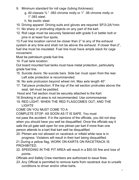- 9. Minimum standard for roll cage (tubing thickness):
	- g. All classes ¾ " .083 chrome molly or 1" .06 chrome molly or 1".083 steel.
	- h. No exotic steel.
- 10. Driving apparel: Driving suits and gloves are required SFI3-2A/1min.
- 11. No sharp or protruding objects on any part of the kart.
- 12. Roll cage must be securely fastened with grade 5 or better bolt or pins in at least four spots.

13.Fuel line location cannot be closer than 2" to any of the exhaust system at any time and shall not be above the exhaust. If closer than 2", fuel line must be insulated. Fuel line must have ample slack for cage movement.

Must be petroleum grade fuel line.

14. Fuel tank location:

Out board mounted fuel tanks must have metal protection, particularly grade fuel line.

- 15. Suicide doors: No suicide bars. Side bar must open from the rear. Left side protection is recommended.
- 16. No axle protrusion beyond wheel rim. Max axle length 40".
- 17. Tail piece protection: If the top of the rail section protrudes above the seat, tail must be padded.
- Hood and Tail section must be securely attached to the Kart
- 18.Smoking in pit area is not recommended. Use commonsense.
- 19. RED LIGHT: WHEN THE RED FLAGCOMES OUT, AND THE LIGHTS

# COME ON YOU MUST COME TO A

COMPLETE STOP. AS SOON AS IT IS SAFE. You must

not pass the accident. If in the opinions of the officials, you did not stop when you should have you well be disqualified. Once the officials say it safe the pit gate well open for one pitman per kart if more than one person attends to a kart that kart well be disqualified.

- 20. Pitmen are not allowed on racetrack or infield while race is in progress. Violators will result in their kart being disqualified.
- 21.During a yellow flag, WORK ON KARTS ON RACETRACK IS PROHIBITED.
- 22. SPEEDING IN THE PIT AREA will result in a \$50.00 fine and loss of points.
- Officials and Safety Crew members are authorized to issue fines.
- 23. Any Official is permitted to remove karts from racetrack due to unsafe conditions to driver and/or other karts.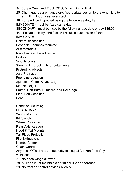24. Safety Crew and Track Official's decision is final.

25. Chain guards are mandatory. Appropriate design to prevent injury to arm. If in doubt, see safety tech.

26. Karts will be inspected using the following safety list.

IMMEDIATE - must be fixed same day.

SECONDARY- must be fixed by the following race date or pay \$25.00

fine. Failure to fix by third face will result in suspension of kart.

IMMEDIATE

Helmet- fit/condition

Seat belt & harness mounted

Arm restraints

Neck brace or Hans Device

**Brakes** 

Suicide doors

Steering link, lock nuts or cotter keys

Protruding objects

Axle Protrusion

Fuel Line Location

Spindles - Cotter Keyed Cage

Mounts height

Frame, Nerf Bars, Bumpers, and Roll Cage

Floor Pan Condition

Seat

–

Condition/Mounting

**SECONDARY** 

Wing - Mounts

Kill Switch

Wheel Condition

Rear Axle Keepers

Hood & Tail Mounts

Tail Piece Protection

Fire Extinguisher

Number/Letter

Chain Guard

Any track Official has the authority to disqualify a kart for safety violations.

27. No nose wings allowed.

28. All karts must maintain a sprint car like appearance.

29. No traction control devices allowed.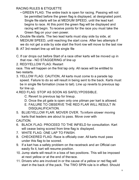# RACING RULES & ETIQUETTE

- GREEN FLAG: The entire track is open for racing. Passing will not be permitted before the green flag is displayed, at designated point. Single file starts will be at MEDIUM SPEED, until the lead kart begins to race. At this point the green flag will be displayed and racing will begin. To receive points for the race you must take the Green flag on your own power.
- A. Double file starts. The two lead karts must stay side by side, at MEDIUM SPEED, until reaching the start cone. After two attempts if we do not get a side by side start the front row will move to the last row
- B. AT 3rd restart line up will be single file
- C. If car drops out before Start of a race other karts will be moved up in that row - NO STAGGERING of line up
- 2. RED/YELLOW FLAG: Restart

race. This will happen on the first lap only. All races will be entitled to two restarts.

- 3. YELLOW FLAG: CAUTION, All karts must come to a parade lap speed. Failure to do so will result in being sent to the back. Karts must be in single file formation (nose to tail). Line up reverts to previous lap for line up.
- 4.RED FLAG: STOP AS SOON AS SAFELYPOSSIBLE.
	- C. Revert to previous lap for lineup.
	- D. Once the pit gate is open only one pitman per kart is allowed.
	- E. FAILURE TO OBSERVE THE RED FLAR WILL RESULT IN DISQUALIFICATION.
- 5. BLUE/YELLOW FLAR: MOVER OVER. To inform slower moving karts that leaders are about to pass. Move over with CAUTION.
- 6. BLACK FLAG: PROCEED TO THE INFIELD for consultation. Kart will cease being scored from time flag is displayed.
- 7. WHITE FLAG: ONE LAP TO FINISH.
- 8. CHECKERED FLAG: Race is officially over. All karts must pass under this flag to be scored.
- 9. If a kart has a safety problem on the racetrack and an Official can easily fix it, kart will resume position.
- 10. Jump starts will result in a loss of two positions. This will be imposed at next yellow or at the end of therace.
- 11. Drivers who are involved in or the cause of a yellow or red flag will start in the back of the pack. The TWO SPIN rule is in effect. Should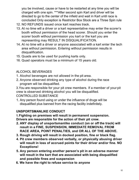you be involved, cause or have to be restarted at any time you will be charged with one spin. \*\*\*After second spin Kart and driver will be directed to go to the center of the infield and wait in Kart until race is concluded Only exception is Restrictor Box Stock are a Three Spin rule

- 12. NO REFUNDS issued once kart reaches track.
- 13. At no time will a driver or a kart representative may enter the scorer's booth without permission of the head scorer. Should you enter the scorer booth without permission you kart or the kart you are representing may RESULT IN DISQUALIFICATION.
- 14. At no time will a driver or anyone associated with a kart enter the tech area without permission. Entering without permission results in disqualification.
- 15. Quads are to be used for pushing karts only.
- 16. Quad operators must be a minimum of 15 years old.

# ALCOHOL BEVERAGES

- 1. Alcohol beverages are not allowed in the pit area.
- 2. Anyone observed drinking any type of alcohol during the race program will be disqualified.

3.You are responsible for your pit crew members. If a member of your pit crew is observed drinking alcohol you will be disqualified.

# CONTROLLED SUBSTANCE

1. Any person found using or under the influence of drugs will be disqualified plus banned from the racing facility indefinitely.

# **UNSPORTSMANLIKE CONDUCT**

**1.Fighting on premises will result in permanent suspension.** 

**Drivers are responsible for the action of their pit crew.**

- **2. ANY display of unsportsmanlike conduct (on or off the track) will result in a FINE, SUSPENSION, IMMEDIATE REMOVAL FROM RACE AREA, POINT PENALTIES, and OR ALL OF THE ABOVE.**
- **3. Rough driving will result in docked position, fine or black flag.**
- **4. Pit crew members observed verbally, or physically abusing driver will result in loss of accrued points for their driver and/or fine. NO Exceptions!**
- **5. Any person entering another person's pit in an adverse manner will result in the kart that are associated with being disqualified and possible fines and suspension**
- **6. We have the right to refuse service to anyone**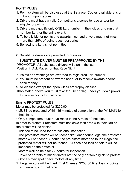POINT RULES

- 1. Point system will be disclosed at the first race. Copies available at sign in booth, upon request.
- 2. Drivers must have a valid Competitor's License to race and/or be eligible for points
- 3. Drivers may qualify only ONE kart number in their class and run that number kart for the entire event.
- 4. To be eligible for points and awards, licensed drivers must not miss more than 25% of point races, per series.
- 5. Borrowing a kart is not permitted.
- 6. Substitute drivers are permitted for 2 races.

SUBSTITUTE DRIVER MUST BE PREAPPROVED BY THE PROMOTOR -All substituted drivers will start in the last Position in ALL Races for that Race Night

- 7. Points and winnings are awarded to registered kart number.
- 8. You must be present at awards banquet to receive awards and/or prize money.
- 9. All classes except the open Class are trophy classes.
- 10As stated above you must take the Green flag under your own power to receive points for that race.

## Engine PROTEST RULES

Motor may be protested for \$250.00.

• MUST be protested Within 15 minutes of completion of the "A" MAIN for that class.

• Only competitors must have raced in the A main of that class In order to protest. Protestors must not leave tech area with their kart or the protest will be denied.

- This fee to be used for professional inspection.
- The protestors motor will be teched first, once found legal the protested motor will be teched. Should the protestors motor be found illegal the protested motor will not be teched. All fines and loss of points will be imposed on the protester.
- Motors well be held for 72 hours for inspection.
- Driver or parents of minor drivers are the only person eligible to protest.
- Officials may spot check motors at any time.
- 2. Illegal motors will be fined. First Offense: \$250.00 fine, loss of points and earnings for that race.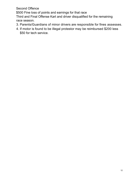Second Offence

\$500 Fine loss of points and earnings for that race

Third and Final Offense Kart and driver disqualified for the remaining race season.

- 3. Parents/Guardians of minor drivers are responsible for fines assesses.
- 4. If motor is found to be illegal protestor may be reimbursed \$200 less \$50 for tech service.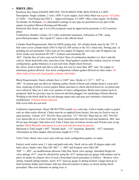## • **RBOX (BS)**

Restrictor Box Stock ENGINE SPECIFIC TECH SHEET FOR: BOX STOCK 6.5 OHV Description: Single cylinder, 2 valve, OHV 4 cycle engine. (Gas Only) Must run a green .425 plate. 6.5 OHV – Fuel Pump Gas ONLY – Approved Engine: 6.5 OHV 196cc clone engine- No Kohlar, No Honda, No Predators. No aftermarket coatings of any type are permitted on any part of the engine (exception Blower Housing and Shrouds)

Restrictor Box Stock: age 5 to 8 (All exceptions must be approved by promoter.) (.425 restrictor plate)

Combustion chamber volume: 26.5 cubic centimeter minimum, with piston at TDC, using prescribed procedure. The Liquid CC check is the official check

Cylinder Head Requirements: Must be OEM casting only. All cylinder heads must be the "JT" 4 bolt valve cover cylinder head (168-f 6.5hp GX 200 series) or the TG-1 head only. Porting and / or grinding are not permitted. Valve seats are two angles 45 degrees valve face and 30 degrees top relief. Intake seat maximum ID .897", Exhaust seat maximum ID

.862". Outside face of valve may not be below floor of combustion chamber (i.e. don't sink the valves). Stock head bolts only, must have four. Head gasket/s maybe after market, must be of stock configuration, gasket thickness is a non tech item. Depth check between

the valves, front to back and side to side may not vary by more than .005" max. No copper or aluminum gaskets allowed. Any stock configuration exhaust gasket allowed no other sealer. No other sealer of any sort, head gasket, exhaust, and intake.

Block Requirements: Stock cylinder bore is 2.685" max. Stroke is 2.123" + .010" or - .005". No piston pop out allowed. Matting surface finish of block and cylinder head is a non-tech item, surfacing of both to correct gasket failure and meet cc check allowed however, no piston pop out is allowed. May use 2 side cover gaskets of stock configuration. Block must remain stock as produced. Stub for governor may be removed and hole plugged. No machining of block allowed. Welding to the block shall be for rod damage repair only and may not constitute a functional modification. Tillotson blocks allowed.

Side cover bolts are non tech

Carburetor requirements: Huayi OR RUI\*ING model type carb only. Carb to intake sealer is gasket only no other sealer allowed. Choke must be as supplied from factory, but may be fixed to stay in open position. Venturi .615" NO-GO. Rear carb bore .751" NO-GO. Main fuel jet .042" NO-GO. Low speed idle jet is a Non-Tech item. Stock emulsion tube must be used and unaltered, .066' max ID (no pass through). Side holes in E-Tube 4 holes max in bottom section and 20 holes max in top section. Black Phenolic carb spacer is a non tech item but must be present. Minimum E-Tube length 1.092". Throttle shaft - .115" minimum. Butterfly - .037" minimum. Aftermarket air filter adapter allowed (max length of 1.375).

Valve Train: Stock valve cover only with any stock configuration gasket, no sealer.

Factory stock rocker arms 1:1 ratio and push rods only. Stock valves only 45-degree angle only both valves, Intake valve Max OD .982" +/- .005" and Exhaust valve Max OD .948" +/- .005", no modifications allowed. Only Box Stock valve springs. (Installed Height for valve springs .815", must be checked by using the .815" spring must go gauge with retainer seal in place on intake an exhaust valve if used.) Prescribed check procedure as follows – Remove valve spring, reinstall spring retainer, insert .815" must go gauge in spring location. Gauge must go in both locations Intake and Exhaust with any allowed retainers in place, as raced, during check procedure. Max wire diameter on spring wire is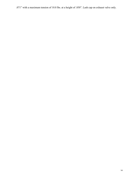.071" with a maximum tension of 10.8 lbs. at a height of .850". Lash cap on exhaust valve only.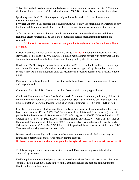Valve stem seal allowed on Intake and Exhaust valve, maximum lip thickness of .027". Minimum thickness of Intake retainer .230", Exhaust retainer .250". BS lifters only, no modifications allowed.

Ignition system: Stock Box Stock system only and must be unaltered. Low oil sensor may be disabled and removed.

Flywheel: Approved SFI certified billet aluminum flywheel only. No machining or alteration of any kind allowed. Minimum weight for flywheel is 3.3 lbs. Any timing key or no key at all may be used.

A flat washer or spacer may be used, and is recommended, between the flywheel and the nut. Handheld electric starter may be used, but compression release mechanism must remain on camshaft.

**If choose to use an electric starter and your karts engine dies on the track we will not restart it.**

Current Approved flywheels: ARC 6619, ARC 6618, ARC 6689, Racing Flywheels RSP-13-075 Revwheel NF- S1 & RSP-13-077 Revwheel F-S1. If manufactured for use with removable fan, the fan must be unaltered, attached and functional. Timing and flywheel key is non-tech.

Header and Muffler Requirements- Silencer must be a (B91XL round hole muffler). Exhaust Pipe must be double nutted, or safety wired, and silencer must be supported by clamped on brace to secure it in place. No modifications allowed. Muffler will be teched against stock B91XL No loop pipes.

Piston and Rings: Must be unaltered Box Stock only. Must have 3 rings. No machining of piston and rings allowed.

Connecting Rod: Stock Box Stock rod or billet. No machining of any type allowed.

Crankshaft Requirements: Stock Box Stock crankshaft required. Machining, polishing, addition of material or other alteration of crankshaft is prohibited. Stock factory timing gear mandatory and must be installed in original location. Crankshaft journal diameter is 1.180" max - 1.168" min.

Camshaft Requirements: Stock camshaft cores only, ez-spin assy must remain as stock. Cam lobe base circle diameter .865" -.005"/+.010" Duration check for Intake and Exhaust lobes (taken off pushrod). Intake duration of 219 degrees at .050 lift/86 degrees at .200 lift. Exhaust duration of 222 degrees at .050" lift/97 degrees at .200" lift. Max Intake lift on cam .225" – Min .215" lift taken at the pushrod. Max Intake lift at the valve .238" Taken on valve spring retainer with zero lash. Max Exhaust lift on cam .232" – Min .222" lift taken at the pushrod. Max Exhaust Lift at the valve .242" Taken on valve spring retainer with zero lash.

Blower Housing Assembly: pull starter must be present and remain stock. Pull starter may be rotated for a better crank angle. After market coating allowed. **If choose to use an electric starter and your karts engine dies on the track we will not restart it.**

Fuel Tank Requirements: stock tank must be removed. Floor mount or gravity fed- Must be approved by promoter

Fuel Pump Requirements: Fuel pump must be pulsed from either the crank case or the valve cover. You may install a flat metal plate in the original tank location for the purpose of mounting the throttle linkage and fuel pump.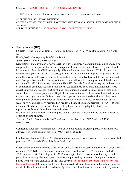### Clutches: DISC OR DRUM CLUTCHES ONLY ALLOWED

+/- .005 or 2 degrees on all measurements to allow for gauge variances and wear.

All CLONE CLASSES: WING DIMENSIONS CENTER PANEL 36" LONG 32" WIDE...RIGHT SIDE PANEL 40"LONG X 14"WIDE...LEFT PANEL 40"LONG X 20" WIDE

ALL DIMENSIONS ARE +/- 1". NO COCKPIT ADJUSTABLE WING SLIDERS.

## • **Box Stock – (BP)**

6.5 OHV – Fuel Pump Gas ONLY – Approved Engine: 6.5 OHV 196cc clone engine- No Kohlar, No

Honda, No Predators,– Any 168-f Clone Block

SPEC SHEET FOR 6.5 OHV CLASS

Description: Single cylinder, 2-valve overhead 4-cycle engine. No aftermarket coatings of any type are permitted on any part of the engine (exception Blower Housing and Shrouds). Cylinder Head Requirements: Must be OME casting only. All cylinder heads must be the "JT" 4 bolt valve cover cylinder head (168-f 6.5hp GX 200 series) or the TG-1 head only. Porting and /or grinding are not permitted. Valve seats may have up to three angles, 45-degree valve face and 30 degrees top relief and 60-degree bottom relief. Cutting of the valve seats allowed to ensure proper seal. Intake seat maximum ID .897". Exhaust seat maximum ID .862". Outside face of valve may not be below four of combustion chambers (i.e. don't sink the valves) Stock head bolts only, must have four. Head gasket/s may be aftermarket, must be of stock configuration, gasket thickness is a non tech item, sealer allowed to ensure proper seal. Depth check between the valve, front to back and side to side may not vary by more than .005-inch max. No cooper or aluminum gaskets allowed. Any stock configuration exhaust gasket allowed, sealer permitted, Header may also be run without gasket, sealer only. Allen head bolts permitted on header to head. The use of aftermarket FLANGED bolts of similar OEM design (head size, diameter, length and thread length/pitch) allowed as replacements for stock head bolts. No studs allowed.

Breather hole on valve cover may be tapped with  $\frac{1}{4}$ " pipe tap to accommodate breather fittings, no oversize drilling allowed.

Bore and Stroke: Stock bore is 2.685" and may be over bored to 2.718" Stroke is 2.123"  $+.010$ " $-.005$ ".

Connecting Rod: Billet aluminum rods, with or without bearing inserts required. No titanium rods allowed. Rod length is a non tech item. MUST use billet rods.

Combustion Chamber Volume: 25 cubic centimeter minimum, with piston at TDC, using prescribed procedure. The Liquid CC check is the official check.

Carburetor/Intake Requirements: Stock Huayi or RUI\*ING TYPE carb. Venturi .625" NO-GO. Rear carb bore .751" NO-GO. Carb bore finish, non tech. Throttle shaft - .115" minimum. Butterfly - .037" minimum. Air Filter adapter of 1.375" max length allowed. No air rams. Pulse-type fuel pump is mandatory (other fuel system must be preapproved by promotor). Fuel pump must be pulsed from either the crankcase or the valve cover. Black phenolic carb spacer is a non tech item but must be present. Choke assembly may be removed. Jets, air bleeds jets, and emulsion tubes are non-tech. Throttle shaft, washer, and butterfly must be stock and must be present, butterfly screw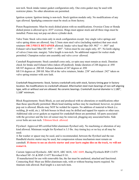non tech. Stock intake runner gasket configuration only. One extra gasket may be used with restrictor plates. No other alterations are permitted.

Ignition system: Ignition timing is non-tech. Stock ignition module only. No modifications of any type allowed. Sparkplug connector must be stock as from factory.

Piston Requirements: Must be stock dished piston with no modifications. Oversize Clone or Honda dished piston is allowed up to .035" oversize. Rings must appear stock and all three rings must be installed. Piston may not pop out above cylinder deck.

Valve Train: Stock valve-train only in stock configuration except: Any single valve springs and valve spring shims are allowed; Any 5.5mm stem steel valve (including stainless) that uses stock retainers **OR 2 PIECE RETAINER** allowed. Intake valve head Max OD .982" +/- .005" and Exhaust valve head Max OD .945" +/- .005". Valves must be one angle only, 45°. No knife edging of valves (1mm min. margin). Valve length is non-tech. No additional support for rocker studs permitted. Champion rocker arm assembly and valve cover allowed.

Camshaft Requirements: Stock camshaft cores only, ez-spin easy must remain as stock. Duration check for Intake and Exhaust lobes (taken off pushrod). Intake duration of 248 degrees at .050 lift/107 degrees at .200 lift. Exhaust duration of 247 degrees at .050 lift/116 degrees at .200 lift. Max lift at the valve retainers, Intake .238" and exhaust .242" taken on valve spring retainer with zero lash.

Crankshaft Requirements: Stock, factory crankshaft only with stock, factory timing gear in factory location. No modifications to crankshaft allowed. Aftermarket steel main bearings of non-self-aligning type, with or without seal are allowed. No ceramic bearings. Crankshaft Journal diameter is 1.180", 1.168" minimum.

Block Requirements: Stock Block, as cast and produced with no alterations or modifications other than those specifically permitted. Block head matting surface may be machined; however, no piston pop out is allowed. Blocks may NOT be welded for repairs. No addition of material to block (i.e. welding, jb weld, etc.). All bolt bosses in block may be drilled and tapped for repairs or other uses. Additional side cover gaskets as required for crankshaft thrust are permitted. All parts associated with the governor and the low oil sensor may be removed, plugging any associated holes. Side cover bolts are non tech. Tillotson block allowed.

Flywheel: Approved SFI certified billet aluminum flywheel only. No machining or alteration of any kind allowed. Minimum weight for flywheel is 3.3 lbs. Any timing key or no key at all may be used.

A flat washer or spacer may be used, and is recommended, between the flywheel and the nut. Handheld electric starter may be used, but compression release mechanism must remain on camshaft. **If choose to use an electric starter and your karts engine dies on the track, we will not restart it.**

Current Approved flywheels: ARC 6619, ARC 6618, ARC 6689, Racing Flywheels RSP-13-075 Revwheel NF- S1 & RSP-13-077 Revwheel F-S1.

If manufactured for use with removable fan, the fan must be unaltered, attached and functional. Connecting Rod: Must use Billet aluminum rods, with or without bearing inserts required. No titanium rods allowed. Rod length is a non tech item.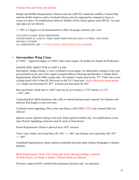#### Clutches Disc and Drum only allowed

Header and Muffler Requirements- Silencer must be a (B91XL round hole muffler). Exhaust Pipe must be double nutted or safety wired and silencer must be supported by clamped on brace to secure it in place. No modifications allowed. Muffler will be teched against stock B91XL. No loop type pipes are not allowed.

+/- .005 or 2 degrees on all measurements to allow for gauge variances and wear.

All CLONE CLASSES: WING DIMENSIONS CENTER PANEL 36" LONG 32" WIDE...RIGHT SIDE PANEL 40"LONG X 14"WIDE...LEFT PANEL 40"LONG X 20"WIDE ALL DIMENSIONS ARE +/- 1" NO COCKPIT ADJUSTABLE WING SLIDERS.

## • **Intermediate Wing Clone**

-

6.5 OHV – Approved Engine: 6.5 OHV 196cc clone engine- No Kohlar No Honda No Predicators

### ENGINE SPEC SHEET FOR 6.5 OHV CLASS

Description: Single cylinder, 2-valve overhead 4-cycle engine. No aftermarket coatings of any type are permitted on any part of the engine (exception Blower Housing and Shrouds). Cylinder Head Requirements: Must be OME casting only. All cylinder's heads must be the "JT" 4 bolt valve cover cylinder head (168-f 6.5hp GX 200 series) or the TG-1 head only. Sealer allowed to ensure proper seal. Intake seat maximum ID .897". Exhaust seat maximum ID .862".

Bore and Stroke: Stock bore is 2.685" and may be over bored to 2.718" Stroke is 2.123"  $+0.00$ "-.005".

Connecting Rod: Billet aluminum rods, with or without bearing inserts required. No titanium rods allowed. Rod length is a non tech item.

Carburetor Stock appearing 196cc clone carb Huayi or RUI\*ING TYPE carb. Internal filler not allowed.

Ignition system: Ignition timing is non-tech. Stock ignition module only. No modifications of any type allowed. Sparkplug connector must be stock as from factory.

Piston Requirements: Piston is allowed up to .035" oversize.

Valve Train: Intake valve head Max OD .982" +/- .005" and Exhaust valve head Max OD .945"  $+/- .005$ ".

Crankshaft Requirements: Stock, factory crankshaft only with stock, factory timing gear in factory location.

Block Requirements: Stock 168-F clone type block. Bracing/welding is allowed. No billet blocks, no Honda or Kohler. Tillotson blocks are allowed.

Flywheel: Approved SFI certified billet aluminum flywheel only. No alteration.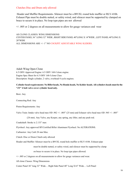#### Clutches Disc and Drum only allowed

Header and Muffler Requirements- Silencer must be a B91XL round hole muffler or RLV-4106. Exhaust Pipe must be double nutted, or safety wired, and silencer must be supported by clamped on brace to secure it in place. No loop type pipes are not allowed

+/- .005 or 2 degrees on all measurements to allow for gauge variances and wear

All CLONE CLASSES: WING DIMENSIONS CENTER PANEL 36" LONG 32" WIDE...RIGHT SIDE PANEL 40"LONG X 14"WIDE...LEFT PANEL 40"LONG X 20"WIDE ALL DIMENSIONS ARE +/- 1" NO COCKPIT ADJUSTABLE WING SLIDERS.

Adult Wing Open Clone 6.5 OHV-Approved Engine: 6.5 OHV 168-f clone engine. Engine Spec Sheet for 6.5 OHV 168-f clone Class Description: Single cylinder, 2 valve, overhead 4 cycle engines.

#### **Cylinder head requirements: No Billet heads, No Honda heads, No Kohler heads. All cylinders heads must be the "JT" 4 bolt valve cover cylinder head only.**

Bore: Any

Connecting Rod: Any

Piston Requirements: Any

Valve Train: Intake valve head max OD .982 +/- .005" (25 mm) and Exhaust valve head max OD .945 +/- .005"

(24 mm). Any Valve, any Keeper, any spring, any lifter, and any push rod.

Crankshaft: Stroke is 2.133" max

Flywheel: Any approved SFI Certified Billet Aluminum Flywheel. No ALTERATIONS.

Carburetor: Any Carb 28 mm Max.

Clutch: Disc or Drum Clutch only allowed

Header and Muffler: Silencer must be a B91XL round hole muffler or RLV-4106. Exhaust pipe

must be double nutted, or safety wired, and silencer must be supported by clamp

on brace to secure it in place. No loop type pipes allowed.

+/- .005 or 2 degrees on all measurements to allow for gauge variances and wear.

All clone Classes: Wing Dimensions

Center Panel 36" long 32" Wide… Right Side Panel 40" Long X14" Wide… Left Panel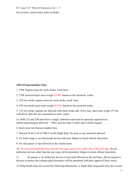40" Long X 20" Wide All Dimensions Are +/- 1"

NO COCKPIT ADJUSTABLE WING SLIDERS.

#### **250/125 Intermediate Class**

1. 250F Engines must be stock stroke, stock bore.

2. 250F powered karts must weigh 415 lbs. based on the racetrack scales.

3. 250 two stroke engines must be stock stroke, stock bore.

4. 250 two stroke karts must weigh 415 lbs. based on the racetrack scales

5. 125 two stroke engines are allowed with stock stroke and 145cc max. Kart must weigh 375 lbs. with driver after the race measured on track scales.

5a. Both 125 and 250 must have a single carburetor and must be naturally aspirated (no turbos/superchargers allowed). - 550cc max for both 2 stroke and 4 stroke engines.

6. Karts must run Hoosier treaded tires.

7. Hoosier D-50 or D-55 ONLY on the Right Rear. No prep or any chemical allowed.

8. No front wings or air directional devices allowed. Subject to track official discretion

9. No side panels or lips allowed on the hoods/noses.

10. No sail panels permitted beyond the rear cage receiver on either side of the roll cage. No air deflection devices other than the top wing will be permitted. Subject to track official discretion.

11. No panels or air deflection devises of any kind allowed on the nerf bars. (Rock Guards or devices to protect the exhaust pipe/electronics will be permitted with prior approval from track)

12.Wing Panels may not exceed the following dimensions. a. Right Side wing panel may not exceed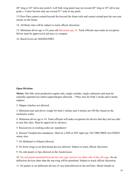48" long or 20" tall at any point b. Left Side wing panel may not exceed 48" long or 28" tall at any point c. Center Section may not exceed 41" wide at any point

13.Floor Pans cannot extend beyond the beyond the frame rails and cannot extend past the rear seat mount on the frame.

14. All Body rules will be subject to track official discretion

15. Minimum driver age is 10 years old Maximum age 16. Track officials may make an exception. Driver must be approved in advance to compete.

16. RaceCeivers are MANDATORY.

### **Open Division:**

**Motor:** Dirt bike style production engine only, single cylinder, single carburetor and must be naturally aspirated (no turbos/superchargers allowed). - 550cc max for both 2 stroke and 4 stroke engines.

2. Slipper clutches not allowed.

3. Minimum kart and driver weight for both 2 strokes and 4 strokes are 450 lbs. based on the racetracks scales.

4. Minimum driver age is 14. Track officials will make exceptions for drivers that they feel are able to race this class. Must be approved in advance.

5. Raceceivers in working order are mandatory!

6. Hoosier Treaded tires mandatory. Must be a D50 or D55 right rear. NO TIRE PREP ALLOWED onany tires

7. No Methanol or Ethanol allowed.

8. No front wings or air directional devices allowed. Subject to track official discretion

9. No side panels or lips allowed on the hoods/noses.

10. No sail panels permitted beyond the rear cage receiver on either side of the roll cage. No air deflection devices other than the top wing will be permitted. Subject to track official discretion.

11. No panels or air deflection devises of any kind allowed on the nerf bars. (Rock Guards or